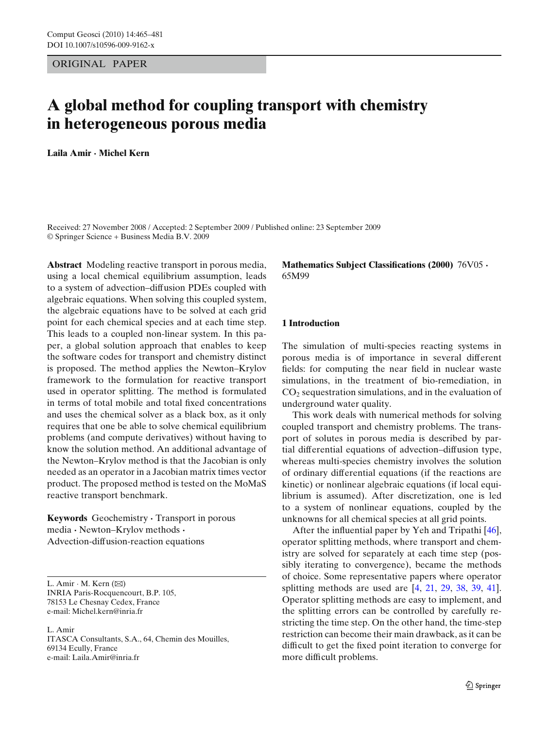ORIGINAL PAPER

# **A global method for coupling transport with chemistry in heterogeneous porous media**

**Laila Amir · Michel Kern**

Received: 27 November 2008 / Accepted: 2 September 2009 / Published online: 23 September 2009 © Springer Science + Business Media B.V. 2009

**Abstract** Modeling reactive transport in porous media, using a local chemical equilibrium assumption, leads to a system of advection–diffusion PDEs coupled with algebraic equations. When solving this coupled system, the algebraic equations have to be solved at each grid point for each chemical species and at each time step. This leads to a coupled non-linear system. In this paper, a global solution approach that enables to keep the software codes for transport and chemistry distinct is proposed. The method applies the Newton–Krylov framework to the formulation for reactive transport used in operator splitting. The method is formulated in terms of total mobile and total fixed concentrations and uses the chemical solver as a black box, as it only requires that one be able to solve chemical equilibrium problems (and compute derivatives) without having to know the solution method. An additional advantage of the Newton–Krylov method is that the Jacobian is only needed as an operator in a Jacobian matrix times vector product. The proposed method is tested on the MoMaS reactive transport benchmark.

**Keywords** Geochemistry **·** Transport in porous media **·** Newton–Krylov methods **·** Advection-diffusion-reaction equations

L. Amir  $\cdot$  M. Kern ( $\boxtimes$ ) INRIA Paris-Rocquencourt, B.P. 105, 78153 Le Chesnay Cedex, France e-mail: Michel.kern@inria.fr

L. Amir ITASCA Consultants, S.A., 64, Chemin des Mouilles, 69134 Ecully, France e-mail: Laila.Amir@inria.fr

**Mathematics Subject Classifications (2000)** 76V05 **·** 65M99

# **1 Introduction**

The simulation of multi-species reacting systems in porous media is of importance in several different fields: for computing the near field in nuclear waste simulations, in the treatment of bio-remediation, in  $CO<sub>2</sub>$  sequestration simulations, and in the evaluation of underground water quality.

This work deals with numerical methods for solving coupled transport and chemistry problems. The transport of solutes in porous media is described by partial differential equations of advection–diffusion type, whereas multi-species chemistry involves the solution of ordinary differential equations (if the reactions are kinetic) or nonlinear algebraic equations (if local equilibrium is assumed). After discretization, one is led to a system of nonlinear equations, coupled by the unknowns for all chemical species at all grid points.

After the influential paper by Yeh and Tripathi [\[46](#page-16-0)], operator splitting methods, where transport and chemistry are solved for separately at each time step (possibly iterating to convergence), became the methods of choice. Some representative papers where operator splitting methods are used are [\[4](#page-15-0), [21,](#page-15-0) [29,](#page-16-0) [38](#page-16-0), [39,](#page-16-0) [41](#page-16-0)]. Operator splitting methods are easy to implement, and the splitting errors can be controlled by carefully restricting the time step. On the other hand, the time-step restriction can become their main drawback, as it can be difficult to get the fixed point iteration to converge for more difficult problems.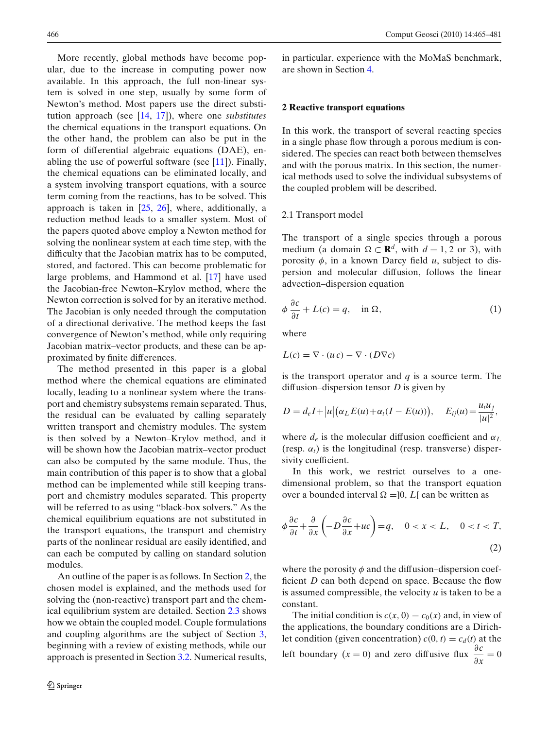<span id="page-1-0"></span>More recently, global methods have become popular, due to the increase in computing power now available. In this approach, the full non-linear system is solved in one step, usually by some form of Newton's method. Most papers use the direct substitution approach (see [\[14](#page-15-0), [17](#page-15-0)]), where one *substitutes* the chemical equations in the transport equations. On the other hand, the problem can also be put in the form of differential algebraic equations (DAE), enabling the use of powerful software (see  $[11]$ ). Finally, the chemical equations can be eliminated locally, and a system involving transport equations, with a source term coming from the reactions, has to be solved. This approach is taken in  $[25, 26]$  $[25, 26]$  $[25, 26]$ , where, additionally, a reduction method leads to a smaller system. Most of the papers quoted above employ a Newton method for solving the nonlinear system at each time step, with the difficulty that the Jacobian matrix has to be computed, stored, and factored. This can become problematic for large problems, and Hammond et al. [\[17\]](#page-15-0) have used the Jacobian-free Newton–Krylov method, where the Newton correction is solved for by an iterative method. The Jacobian is only needed through the computation of a directional derivative. The method keeps the fast convergence of Newton's method, while only requiring Jacobian matrix–vector products, and these can be approximated by finite differences.

The method presented in this paper is a global method where the chemical equations are eliminated locally, leading to a nonlinear system where the transport and chemistry subsystems remain separated. Thus, the residual can be evaluated by calling separately written transport and chemistry modules. The system is then solved by a Newton–Krylov method, and it will be shown how the Jacobian matrix–vector product can also be computed by the same module. Thus, the main contribution of this paper is to show that a global method can be implemented while still keeping transport and chemistry modules separated. This property will be referred to as using "black-box solvers." As the chemical equilibrium equations are not substituted in the transport equations, the transport and chemistry parts of the nonlinear residual are easily identified, and can each be computed by calling on standard solution modules.

An outline of the paper is as follows. In Section 2, the chosen model is explained, and the methods used for solving the (non-reactive) transport part and the chemical equilibrium system are detailed. Section [2.3](#page-5-0) shows how we obtain the coupled model. Couple formulations and coupling algorithms are the subject of Section [3,](#page-6-0) beginning with a review of existing methods, while our approach is presented in Section [3.2.](#page-7-0) Numerical results,

in particular, experience with the MoMaS benchmark, are shown in Section [4.](#page-10-0)

#### **2 Reactive transport equations**

In this work, the transport of several reacting species in a single phase flow through a porous medium is considered. The species can react both between themselves and with the porous matrix. In this section, the numerical methods used to solve the individual subsystems of the coupled problem will be described.

## 2.1 Transport model

The transport of a single species through a porous medium (a domain  $\Omega \subset \mathbf{R}^d$ , with  $d = 1, 2$  or 3), with porosity  $\phi$ , in a known Darcy field *u*, subject to dispersion and molecular diffusion, follows the linear advection–dispersion equation

$$
\phi \frac{\partial c}{\partial t} + L(c) = q, \quad \text{in } \Omega,
$$
\n(1)

where

$$
L(c) = \nabla \cdot (uc) - \nabla \cdot (D\nabla c)
$$

is the transport operator and *q* is a source term. The diffusion–dispersion tensor *D* is given by

$$
D = d_e I + |u| \big( \alpha_L E(u) + \alpha_I (I - E(u)) \big), \quad E_{ij}(u) = \frac{u_i u_j}{|u|^2},
$$

where  $d_e$  is the molecular diffusion coefficient and  $\alpha_L$ (resp.  $\alpha_t$ ) is the longitudinal (resp. transverse) dispersivity coefficient.

In this work, we restrict ourselves to a onedimensional problem, so that the transport equation over a bounded interval  $\Omega = ]0, L[$  can be written as

$$
\phi \frac{\partial c}{\partial t} + \frac{\partial}{\partial x} \left( -D \frac{\partial c}{\partial x} + uc \right) = q, \quad 0 < x < L, \quad 0 < t < T,\tag{2}
$$

where the porosity  $\phi$  and the diffusion–dispersion coefficient *D* can both depend on space. Because the flow is assumed compressible, the velocity *u* is taken to be a constant.

The initial condition is  $c(x, 0) = c_0(x)$  and, in view of the applications, the boundary conditions are a Dirichlet condition (given concentration)  $c(0, t) = c_d(t)$  at the left boundary (*x* = 0) and zero diffusive flux  $\frac{\partial c}{\partial x} = 0$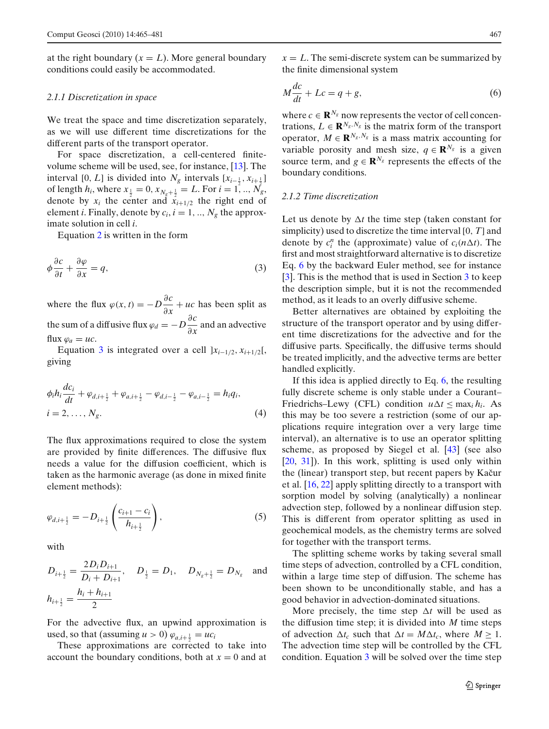<span id="page-2-0"></span>at the right boundary  $(x = L)$ . More general boundary conditions could easily be accommodated.

### *2.1.1 Discretization in space*

We treat the space and time discretization separately, as we will use different time discretizations for the different parts of the transport operator.

For space discretization, a cell-centered finitevolume scheme will be used, see, for instance, [\[13\]](#page-15-0). The interval [0, *L*] is divided into  $N_g$  intervals  $[x_{i-\frac{1}{2}}, x_{i+\frac{1}{2}}]$ of length  $h_i$ , where  $x_{\frac{1}{2}} = 0$ ,  $x_{N_g + \frac{1}{2}} = L$ . For  $i = 1, ..., N_g$ , denote by  $x_i$  the center and  $x_{i+1/2}$  the right end of element *i*. Finally, denote by  $c_i$ ,  $i = 1, ..., N_g$  the approximate solution in cell *i*.

Equation [2](#page-1-0) is written in the form

$$
\phi \frac{\partial c}{\partial t} + \frac{\partial \varphi}{\partial x} = q,\tag{3}
$$

where the flux  $\varphi(x, t) = -D \frac{\partial c}{\partial x} + uc$  has been split as the sum of a diffusive flux  $\varphi_d = -D \frac{\partial c}{\partial x}$  and an advective flux  $\varphi_a = uc$ .

Equation 3 is integrated over a cell  $]x_{i-1/2}, x_{i+1/2}$ [, giving

$$
\phi_i h_i \frac{dc_i}{dt} + \varphi_{d,i+\frac{1}{2}} + \varphi_{a,i+\frac{1}{2}} - \varphi_{d,i-\frac{1}{2}} - \varphi_{a,i-\frac{1}{2}} = h_i q_i,
$$
  
\n $i = 2, ..., N_g.$  (4)

The flux approximations required to close the system are provided by finite differences. The diffusive flux needs a value for the diffusion coefficient, which is taken as the harmonic average (as done in mixed finite element methods):

$$
\varphi_{d,i+\frac{1}{2}} = -D_{i+\frac{1}{2}}\left(\frac{c_{i+1} - c_i}{h_{i+\frac{1}{2}}}\right),\tag{5}
$$

with

$$
D_{i+\frac{1}{2}} = \frac{2D_i D_{i+1}}{D_i + D_{i+1}}, \quad D_{\frac{1}{2}} = D_1, \quad D_{N_g + \frac{1}{2}} = D_{N_g} \text{ and}
$$
  

$$
h_{i+\frac{1}{2}} = \frac{h_i + h_{i+1}}{2}
$$

For the advective flux, an upwind approximation is used, so that (assuming  $u > 0$ )  $\varphi_{a,i+\frac{1}{2}} = uc_i$ 

These approximations are corrected to take into account the boundary conditions, both at  $x = 0$  and at

 $x = L$ . The semi-discrete system can be summarized by the finite dimensional system

$$
M\frac{dc}{dt} + Lc = q + g,\tag{6}
$$

where  $c \in \mathbb{R}^{N_g}$  now represents the vector of cell concentrations,  $L \in \mathbf{R}^{N_g, N_g}$  is the matrix form of the transport operator,  $M \in \mathbf{R}^{N_g, N_g}$  is a mass matrix accounting for variable porosity and mesh size,  $q \in \mathbb{R}^{N_g}$  is a given source term, and  $g \in \mathbb{R}^{N_g}$  represents the effects of the boundary conditions.

### *2.1.2 Time discretization*

Let us denote by  $\Delta t$  the time step (taken constant for simplicity) used to discretize the time interval [0, *T*] and denote by  $c_i^n$  the (approximate) value of  $c_i(n\Delta t)$ . The first and most straightforward alternative is to discretize Eq. 6 by the backward Euler method, see for instance [\[3](#page-15-0)]. This is the method that is used in Section [3](#page-6-0) to keep the description simple, but it is not the recommended method, as it leads to an overly diffusive scheme.

Better alternatives are obtained by exploiting the structure of the transport operator and by using different time discretizations for the advective and for the diffusive parts. Specifically, the diffusive terms should be treated implicitly, and the advective terms are better handled explicitly.

If this idea is applied directly to Eq. 6, the resulting fully discrete scheme is only stable under a Courant– Friedrichs–Lewy (CFL) condition  $u \Delta t \leq \max_i h_i$ . As this may be too severe a restriction (some of our applications require integration over a very large time interval), an alternative is to use an operator splitting scheme, as proposed by Siegel et al. [\[43\]](#page-16-0) (see also [\[20](#page-15-0), [31\]](#page-16-0)). In this work, splitting is used only within the (linear) transport step, but recent papers by Kačur et al. [\[16](#page-15-0), [22](#page-15-0)] apply splitting directly to a transport with sorption model by solving (analytically) a nonlinear advection step, followed by a nonlinear diffusion step. This is different from operator splitting as used in geochemical models, as the chemistry terms are solved for together with the transport terms.

The splitting scheme works by taking several small time steps of advection, controlled by a CFL condition, within a large time step of diffusion. The scheme has been shown to be unconditionally stable, and has a good behavior in advection-dominated situations.

More precisely, the time step  $\Delta t$  will be used as the diffusion time step; it is divided into *M* time steps of advection  $\Delta t_c$  such that  $\Delta t = M \Delta t_c$ , where  $M \geq 1$ . The advection time step will be controlled by the CFL condition. Equation 3 will be solved over the time step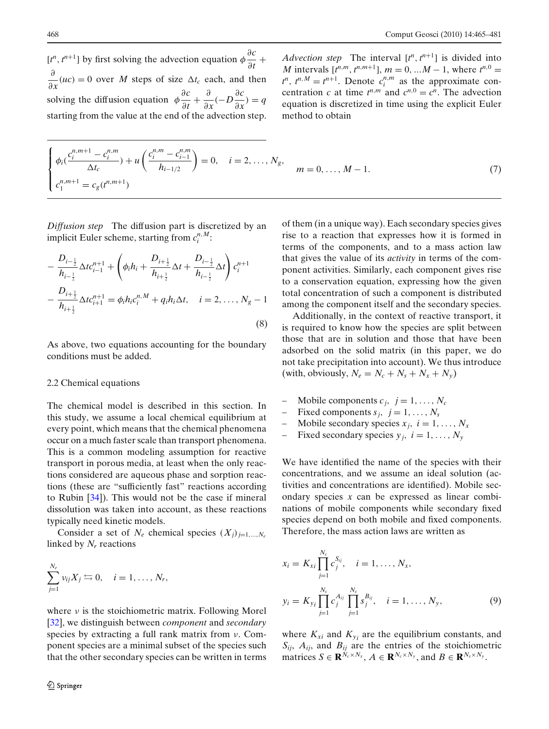<span id="page-3-0"></span> $[t^n, t^{n+1}]$  by first solving the advection equation  $\phi \frac{\partial c}{\partial t}$  $\frac{\partial}{\partial t}$  +  $\partial$  $\frac{\partial}{\partial x}(uc) = 0$  over *M* steps of size  $\Delta t_c$  each, and then solving the diffusion equation  $\phi \frac{\partial c}{\partial r}$  $rac{\partial c}{\partial t} + \frac{\partial}{\partial x}$  $rac{\partial}{\partial x}(-D\frac{\partial c}{\partial x}) = q$ starting from the value at the end of the advection step.

*Advection step* The interval  $[t^n, t^{n+1}]$  is divided into *M* intervals  $[t^{n,m}, t^{n,m+1}]$ ,  $m = 0, \ldots M - 1$ , where  $t^{n,0} =$  $t^n$ ,  $t^{n,M} = t^{n+1}$ . Denote  $c_i^{n,m}$  as the approximate concentration *c* at time  $t^{n,m}$  and  $c^{n,0} = c^n$ . The advection equation is discretized in time using the explicit Euler method to obtain

$$
\begin{cases}\n\phi_i(\frac{c_i^{n,m+1} - c_i^{n,m}}{\Delta t_c}) + u\left(\frac{c_i^{n,m} - c_{i-1}^{n,m}}{h_{i-1/2}}\right) = 0, \quad i = 2, \dots, N_g, \\
c_1^{n,m+1} = c_g(t^{n,m+1})\n\end{cases} \qquad (7)
$$

*Diffusion step* The diffusion part is discretized by an implicit Euler scheme, starting from  $c_i^{n,M}$ :

$$
-\frac{D_{i-\frac{1}{2}}}{h_{i-\frac{1}{2}}}\Delta t c_{i-1}^{n+1} + \left(\phi_i h_i + \frac{D_{i+\frac{1}{2}}}{h_{i+\frac{1}{2}}}\Delta t + \frac{D_{i-\frac{1}{2}}}{h_{i-\frac{1}{2}}}\Delta t\right) c_i^{n+1} - \frac{D_{i+\frac{1}{2}}}{h_{i+\frac{1}{2}}}\Delta t c_{i+1}^{n+1} = \phi_i h_i c_i^{n,M} + q_i h_i \Delta t, \quad i = 2, ..., N_g - 1
$$
\n(8)

As above, two equations accounting for the boundary conditions must be added.

# 2.2 Chemical equations

The chemical model is described in this section. In this study, we assume a local chemical equilibrium at every point, which means that the chemical phenomena occur on a much faster scale than transport phenomena. This is a common modeling assumption for reactive transport in porous media, at least when the only reactions considered are aqueous phase and sorption reactions (these are "sufficiently fast" reactions according to Rubin [\[34\]](#page-16-0)). This would not be the case if mineral dissolution was taken into account, as these reactions typically need kinetic models.

Consider a set of  $N_e$  chemical species  $(X_i)_{i=1,\dots,N_e}$ linked by  $N_r$  reactions

$$
\sum_{j=1}^{N_e} v_{ij} X_j \leftrightarrows 0, \quad i = 1, \ldots, N_r,
$$

where  $\nu$  is the stoichiometric matrix. Following Morel [\[32](#page-16-0)], we distinguish between *component* and *secondary* species by extracting a full rank matrix from ν. Component species are a minimal subset of the species such that the other secondary species can be written in terms

of them (in a unique way). Each secondary species gives rise to a reaction that expresses how it is formed in terms of the components, and to a mass action law that gives the value of its *activity* in terms of the component activities. Similarly, each component gives rise to a conservation equation, expressing how the given total concentration of such a component is distributed among the component itself and the secondary species.

Additionally, in the context of reactive transport, it is required to know how the species are split between those that are in solution and those that have been adsorbed on the solid matrix (in this paper, we do not take precipitation into account). We thus introduce (with, obviously,  $N_e = N_c + N_s + N_x + N_y$ )

- Mobile components  $c_j$ ,  $j = 1, \ldots, N_c$
- Fixed components  $s_j$ ,  $j = 1, \ldots, N_s$
- Mobile secondary species  $x_j$ ,  $i = 1, \ldots, N_x$
- Fixed secondary species  $y_i$ ,  $i = 1, ..., N_y$

We have identified the name of the species with their concentrations, and we assume an ideal solution (activities and concentrations are identified). Mobile secondary species *x* can be expressed as linear combinations of mobile components while secondary fixed species depend on both mobile and fixed components. Therefore, the mass action laws are written as

$$
x_i = K_{xi} \prod_{j=1}^{N_c} c_j^{S_{ij}}, \quad i = 1, ..., N_x,
$$
  

$$
y_i = K_{y_i} \prod_{j=1}^{N_c} c_j^{A_{ij}} \prod_{j=1}^{N_s} s_j^{B_{ij}}, \quad i = 1, ..., N_y,
$$
 (9)

where  $K_{xi}$  and  $K_{yi}$  are the equilibrium constants, and *Sij*, *Aij*, and *Bij* are the entries of the stoichiometric matrices  $S \in \mathbf{R}^{N_c \times N_x}$ ,  $A \in \mathbf{R}^{N_c \times N_y}$ , and  $B \in \mathbf{R}^{N_s \times N_y}$ .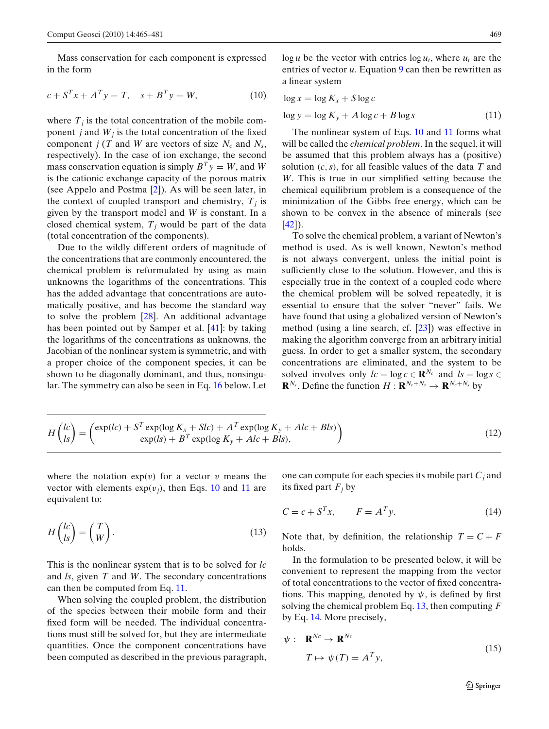<span id="page-4-0"></span>Mass conservation for each component is expressed in the form

$$
c + ST x + AT y = T, \quad s + BT y = W,
$$
\n(10)

where  $T_i$  is the total concentration of the mobile component *j* and  $W_i$  is the total concentration of the fixed component *j* (*T* and *W* are vectors of size  $N_c$  and  $N_s$ , respectively). In the case of ion exchange, the second mass conservation equation is simply  $B^T y = W$ , and *W* is the cationic exchange capacity of the porous matrix (see Appelo and Postma [\[2](#page-15-0)]). As will be seen later, in the context of coupled transport and chemistry,  $T_i$  is given by the transport model and *W* is constant. In a closed chemical system,  $T_j$  would be part of the data (total concentration of the components).

Due to the wildly different orders of magnitude of the concentrations that are commonly encountered, the chemical problem is reformulated by using as main unknowns the logarithms of the concentrations. This has the added advantage that concentrations are automatically positive, and has become the standard way to solve the problem [\[28](#page-16-0)]. An additional advantage has been pointed out by Samper et al. [\[41](#page-16-0)]: by taking the logarithms of the concentrations as unknowns, the Jacobian of the nonlinear system is symmetric, and with a proper choice of the component species, it can be shown to be diagonally dominant, and thus, nonsingular. The symmetry can also be seen in Eq. [16](#page-5-0) below. Let  $\log u$  be the vector with entries  $\log u_i$ , where  $u_i$  are the entries of vector *u*. Equation [9](#page-3-0) can then be rewritten as a linear system

$$
\log x = \log K_x + S \log c
$$
  

$$
\log y = \log K_y + A \log c + B \log s
$$
 (11)

The nonlinear system of Eqs. 10 and 11 forms what will be called the *chemical problem*. In the sequel, it will be assumed that this problem always has a (positive) solution (*c*,*s*), for all feasible values of the data *T* and *W*. This is true in our simplified setting because the chemical equilibrium problem is a consequence of the minimization of the Gibbs free energy, which can be shown to be convex in the absence of minerals (see [\[42](#page-16-0)]).

To solve the chemical problem, a variant of Newton's method is used. As is well known, Newton's method is not always convergent, unless the initial point is sufficiently close to the solution. However, and this is especially true in the context of a coupled code where the chemical problem will be solved repeatedly, it is essential to ensure that the solver "never" fails. We have found that using a globalized version of Newton's method (using a line search, cf. [\[23\]](#page-15-0)) was effective in making the algorithm converge from an arbitrary initial guess. In order to get a smaller system, the secondary concentrations are eliminated, and the system to be solved involves only  $lc = \log c \in \mathbf{R}^{N_c}$  and  $ls = \log s \in$  $\mathbf{R}^{N_s}$ . Define the function *H* :  $\mathbf{R}^{N_c+N_s} \rightarrow \mathbf{R}^{N_c+N_s}$  by

$$
H\begin{pmatrix}lc\\ls\end{pmatrix} = \begin{pmatrix} \exp(lc) + S^T \exp(\log K_x + Slc) + A^T \exp(\log K_y + Alc + Bls) \\ \exp(ls) + B^T \exp(\log K_y + Alc + Bls), \end{pmatrix}
$$
(12)

where the notation  $exp(v)$  for a vector v means the vector with elements  $exp(v_i)$ , then Eqs. 10 and 11 are equivalent to:

$$
H\begin{pmatrix}lc\\ls\end{pmatrix} = \begin{pmatrix}T\\W\end{pmatrix}.
$$
 (13)

This is the nonlinear system that is to be solved for *lc* and *ls*, given *T* and *W*. The secondary concentrations can then be computed from Eq. 11.

When solving the coupled problem, the distribution of the species between their mobile form and their fixed form will be needed. The individual concentrations must still be solved for, but they are intermediate quantities. Once the component concentrations have been computed as described in the previous paragraph,

one can compute for each species its mobile part *Cj* and its fixed part  $F_i$  by

$$
C = c + ST x, \tF = AT y.
$$
\t(14)

Note that, by definition, the relationship  $T = C + F$ holds.

In the formulation to be presented below, it will be convenient to represent the mapping from the vector of total concentrations to the vector of fixed concentrations. This mapping, denoted by  $\psi$ , is defined by first solving the chemical problem Eq. 13, then computing *F* by Eq. 14. More precisely,

$$
\psi: \quad \mathbf{R}^{Nc} \to \mathbf{R}^{Nc}
$$
\n
$$
T \mapsto \psi(T) = A^T y,\tag{15}
$$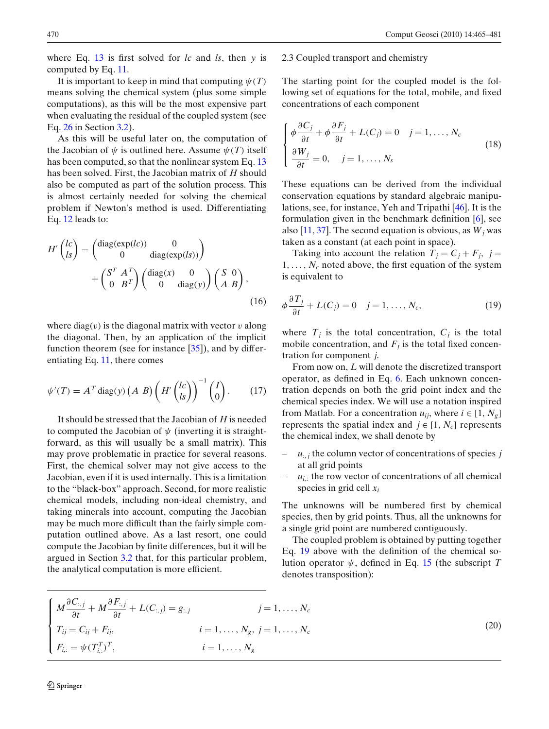<span id="page-5-0"></span>where Eq. [13](#page-4-0) is first solved for *lc* and *ls*, then *y* is computed by Eq. [11.](#page-4-0)

It is important to keep in mind that computing  $\psi(T)$ means solving the chemical system (plus some simple computations), as this will be the most expensive part when evaluating the residual of the coupled system (see Eq. [26](#page-8-0) in Section [3.2\)](#page-7-0).

As this will be useful later on, the computation of the Jacobian of  $\psi$  is outlined here. Assume  $\psi(T)$  itself has been computed, so that the nonlinear system Eq. [13](#page-4-0) has been solved. First, the Jacobian matrix of *H* should also be computed as part of the solution process. This is almost certainly needed for solving the chemical problem if Newton's method is used. Differentiating Eq. [12](#page-4-0) leads to:

$$
H'\begin{pmatrix} lc \\ ls \end{pmatrix} = \begin{pmatrix} diag(exp(lc)) & 0 \\ 0 & diag(exp(ls)) \end{pmatrix} + \begin{pmatrix} S^T A^T \\ 0 B^T \end{pmatrix} \begin{pmatrix} diag(x) & 0 \\ 0 & diag(y) \end{pmatrix} \begin{pmatrix} S & 0 \\ A & B \end{pmatrix},
$$
\n(16)

where diag( $v$ ) is the diagonal matrix with vector  $v$  along the diagonal. Then, by an application of the implicit function theorem (see for instance  $[35]$  $[35]$ ), and by differentiating Eq. [11,](#page-4-0) there comes

$$
\psi'(T) = A^T \operatorname{diag}(y) \left( A \ B \right) \left( H' \begin{pmatrix} lc \\ ls \end{pmatrix} \right)^{-1} \begin{pmatrix} I \\ 0 \end{pmatrix} . \tag{17}
$$

It should be stressed that the Jacobian of *H* is needed to computed the Jacobian of  $\psi$  (inverting it is straightforward, as this will usually be a small matrix). This may prove problematic in practice for several reasons. First, the chemical solver may not give access to the Jacobian, even if it is used internally. This is a limitation to the "black-box" approach. Second, for more realistic chemical models, including non-ideal chemistry, and taking minerals into account, computing the Jacobian may be much more difficult than the fairly simple computation outlined above. As a last resort, one could compute the Jacobian by finite differences, but it will be argued in Section [3.2](#page-7-0) that, for this particular problem, the analytical computation is more efficient.

## 2.3 Coupled transport and chemistry

The starting point for the coupled model is the following set of equations for the total, mobile, and fixed concentrations of each component

$$
\begin{cases}\n\phi \frac{\partial C_j}{\partial t} + \phi \frac{\partial F_j}{\partial t} + L(C_j) = 0 & j = 1, ..., N_c \\
\frac{\partial W_j}{\partial t} = 0, \quad j = 1, ..., N_s\n\end{cases}
$$
\n(18)

These equations can be derived from the individual conservation equations by standard algebraic manipulations, see, for instance, Yeh and Tripathi [\[46\]](#page-16-0). It is the formulation given in the benchmark definition [\[6](#page-15-0)], see also  $[11, 37]$  $[11, 37]$  $[11, 37]$ . The second equation is obvious, as  $W_i$  was taken as a constant (at each point in space).

Taking into account the relation  $T_j = C_j + F_j$ ,  $j =$ 1,..., *Nc* noted above, the first equation of the system is equivalent to

$$
\phi \frac{\partial T_j}{\partial t} + L(C_j) = 0 \quad j = 1, ..., N_c,
$$
\n(19)

where  $T_j$  is the total concentration,  $C_j$  is the total mobile concentration, and  $F_j$  is the total fixed concentration for component *j*.

From now on, *L* will denote the discretized transport operator, as defined in Eq. [6.](#page-2-0) Each unknown concentration depends on both the grid point index and the chemical species index. We will use a notation inspired from Matlab. For a concentration  $u_{ii}$ , where  $i \in [1, N_g]$ represents the spatial index and  $j \in [1, N_c]$  represents the chemical index, we shall denote by

- $u_{i,j}$  the column vector of concentrations of species *j* at all grid points
- $u_{i,:}$  the row vector of concentrations of all chemical species in grid cell *xi*

The unknowns will be numbered first by chemical species, then by grid points. Thus, all the unknowns for a single grid point are numbered contiguously.

The coupled problem is obtained by putting together Eq. 19 above with the definition of the chemical solution operator  $\psi$ , defined in Eq. [15](#page-4-0) (the subscript *T* denotes transposition):

$$
\begin{cases}\nM\frac{\partial C_{:,j}}{\partial t} + M\frac{\partial F_{:,j}}{\partial t} + L(C_{:,j}) = g_{:,j} & j = 1, ..., N_c \\
T_{ij} = C_{ij} + F_{ij}, & i = 1, ..., N_g, j = 1, ..., N_c \\
F_{i,:} = \psi(T_{i,:}^T)^T, & i = 1, ..., N_g\n\end{cases}
$$
\n(20)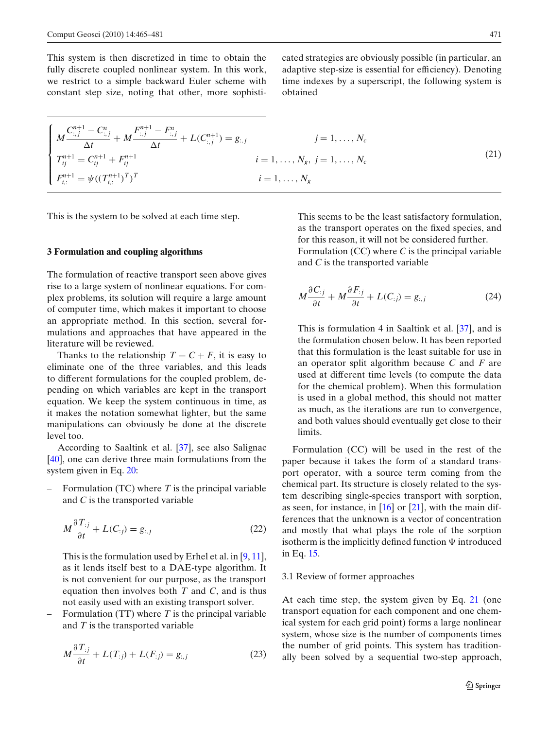<span id="page-6-0"></span>This system is then discretized in time to obtain the fully discrete coupled nonlinear system. In this work, we restrict to a simple backward Euler scheme with constant step size, noting that other, more sophisticated strategies are obviously possible (in particular, an adaptive step-size is essential for efficiency). Denoting time indexes by a superscript, the following system is obtained

$$
\begin{cases}\nM \frac{C_{:,j}^{n+1} - C_{:,j}^{n}}{\Delta t} + M \frac{F_{:,j}^{n+1} - F_{:,j}^{n}}{\Delta t} + L(C_{:,j}^{n+1}) = g_{:,j} & j = 1, ..., N_c \\
T_{ij}^{n+1} = C_{ij}^{n+1} + F_{ij}^{n+1} & i = 1, ..., N_g, j = 1, ..., N_c \\
F_{i,:}^{n+1} = \psi((T_{i,:}^{n+1})^T)^T & i = 1, ..., N_g\n\end{cases}
$$
\n(21)

This is the system to be solved at each time step.

#### **3 Formulation and coupling algorithms**

The formulation of reactive transport seen above gives rise to a large system of nonlinear equations. For complex problems, its solution will require a large amount of computer time, which makes it important to choose an appropriate method. In this section, several formulations and approaches that have appeared in the literature will be reviewed.

Thanks to the relationship  $T = C + F$ , it is easy to eliminate one of the three variables, and this leads to different formulations for the coupled problem, depending on which variables are kept in the transport equation. We keep the system continuous in time, as it makes the notation somewhat lighter, but the same manipulations can obviously be done at the discrete level too.

According to Saaltink et al. [\[37](#page-16-0)], see also Salignac [\[40](#page-16-0)], one can derive three main formulations from the system given in Eq. [20:](#page-5-0)

– Formulation (TC) where *T* is the principal variable and *C* is the transported variable

$$
M\frac{\partial T_{:j}}{\partial t} + L(C_{:j}) = g_{:j}
$$
 (22)

This is the formulation used by Erhel et al. in  $[9, 11]$  $[9, 11]$  $[9, 11]$  $[9, 11]$ , as it lends itself best to a DAE-type algorithm. It is not convenient for our purpose, as the transport equation then involves both *T* and *C*, and is thus not easily used with an existing transport solver.

– Formulation (TT) where *T* is the principal variable and *T* is the transported variable

$$
M\frac{\partial T_{:j}}{\partial t} + L(T_{:j}) + L(F_{:j}) = g_{:j}
$$
 (23)

This seems to be the least satisfactory formulation, as the transport operates on the fixed species, and for this reason, it will not be considered further.

– Formulation (CC) where *C* is the principal variable and *C* is the transported variable

$$
M\frac{\partial C_{:j}}{\partial t} + M\frac{\partial F_{:j}}{\partial t} + L(C_{:j}) = g_{:j}
$$
 (24)

This is formulation 4 in Saaltink et al. [\[37\]](#page-16-0), and is the formulation chosen below. It has been reported that this formulation is the least suitable for use in an operator split algorithm because *C* and *F* are used at different time levels (to compute the data for the chemical problem). When this formulation is used in a global method, this should not matter as much, as the iterations are run to convergence, and both values should eventually get close to their limits.

Formulation (CC) will be used in the rest of the paper because it takes the form of a standard transport operator, with a source term coming from the chemical part. Its structure is closely related to the system describing single-species transport with sorption, as seen, for instance, in  $[16]$  or  $[21]$ , with the main differences that the unknown is a vector of concentration and mostly that what plays the role of the sorption isotherm is the implicitly defined function  $\Psi$  introduced in Eq. [15.](#page-4-0)

# 3.1 Review of former approaches

At each time step, the system given by Eq. 21 (one transport equation for each component and one chemical system for each grid point) forms a large nonlinear system, whose size is the number of components times the number of grid points. This system has traditionally been solved by a sequential two-step approach,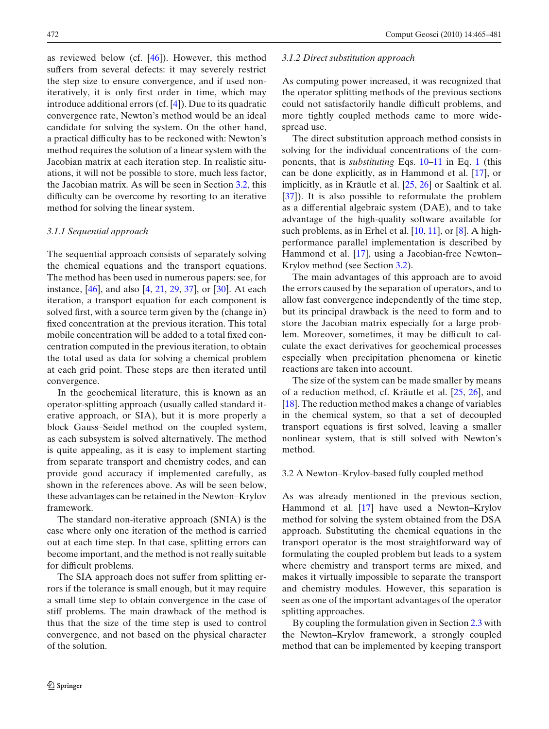<span id="page-7-0"></span>as reviewed below (cf. [\[46](#page-16-0)]). However, this method suffers from several defects: it may severely restrict the step size to ensure convergence, and if used noniteratively, it is only first order in time, which may introduce additional errors (cf. [\[4\]](#page-15-0)). Due to its quadratic convergence rate, Newton's method would be an ideal candidate for solving the system. On the other hand, a practical difficulty has to be reckoned with: Newton's method requires the solution of a linear system with the Jacobian matrix at each iteration step. In realistic situations, it will not be possible to store, much less factor, the Jacobian matrix. As will be seen in Section 3.2, this difficulty can be overcome by resorting to an iterative method for solving the linear system.

# *3.1.1 Sequential approach*

The sequential approach consists of separately solving the chemical equations and the transport equations. The method has been used in numerous papers: see, for instance, [\[46\]](#page-16-0), and also [\[4,](#page-15-0) [21,](#page-15-0) [29](#page-16-0), [37](#page-16-0)], or [\[30](#page-16-0)]. At each iteration, a transport equation for each component is solved first, with a source term given by the (change in) fixed concentration at the previous iteration. This total mobile concentration will be added to a total fixed concentration computed in the previous iteration, to obtain the total used as data for solving a chemical problem at each grid point. These steps are then iterated until convergence.

In the geochemical literature, this is known as an operator-splitting approach (usually called standard iterative approach, or SIA), but it is more properly a block Gauss–Seidel method on the coupled system, as each subsystem is solved alternatively. The method is quite appealing, as it is easy to implement starting from separate transport and chemistry codes, and can provide good accuracy if implemented carefully, as shown in the references above. As will be seen below, these advantages can be retained in the Newton–Krylov framework.

The standard non-iterative approach (SNIA) is the case where only one iteration of the method is carried out at each time step. In that case, splitting errors can become important, and the method is not really suitable for difficult problems.

The SIA approach does not suffer from splitting errors if the tolerance is small enough, but it may require a small time step to obtain convergence in the case of stiff problems. The main drawback of the method is thus that the size of the time step is used to control convergence, and not based on the physical character of the solution.

#### *3.1.2 Direct substitution approach*

As computing power increased, it was recognized that the operator splitting methods of the previous sections could not satisfactorily handle difficult problems, and more tightly coupled methods came to more widespread use.

The direct substitution approach method consists in solving for the individual concentrations of the components, that is *substituting* Eqs. [10–11](#page-4-0) in Eq. [1](#page-1-0) (this can be done explicitly, as in Hammond et al. [\[17](#page-15-0)], or implicitly, as in Kräutle et al. [\[25,](#page-15-0) [26](#page-16-0)] or Saaltink et al. [\[37](#page-16-0)]). It is also possible to reformulate the problem as a differential algebraic system (DAE), and to take advantage of the high-quality software available for such problems, as in Erhel et al. [\[10](#page-15-0), [11](#page-15-0)], or [\[8\]](#page-15-0). A highperformance parallel implementation is described by Hammond et al. [\[17\]](#page-15-0), using a Jacobian-free Newton– Krylov method (see Section 3.2).

The main advantages of this approach are to avoid the errors caused by the separation of operators, and to allow fast convergence independently of the time step, but its principal drawback is the need to form and to store the Jacobian matrix especially for a large problem. Moreover, sometimes, it may be difficult to calculate the exact derivatives for geochemical processes especially when precipitation phenomena or kinetic reactions are taken into account.

The size of the system can be made smaller by means of a reduction method, cf. Kräutle et al. [\[25](#page-15-0), [26\]](#page-16-0), and [\[18](#page-15-0)]. The reduction method makes a change of variables in the chemical system, so that a set of decoupled transport equations is first solved, leaving a smaller nonlinear system, that is still solved with Newton's method.

# 3.2 A Newton–Krylov-based fully coupled method

As was already mentioned in the previous section, Hammond et al. [\[17](#page-15-0)] have used a Newton–Krylov method for solving the system obtained from the DSA approach. Substituting the chemical equations in the transport operator is the most straightforward way of formulating the coupled problem but leads to a system where chemistry and transport terms are mixed, and makes it virtually impossible to separate the transport and chemistry modules. However, this separation is seen as one of the important advantages of the operator splitting approaches.

By coupling the formulation given in Section [2.3](#page-5-0) with the Newton–Krylov framework, a strongly coupled method that can be implemented by keeping transport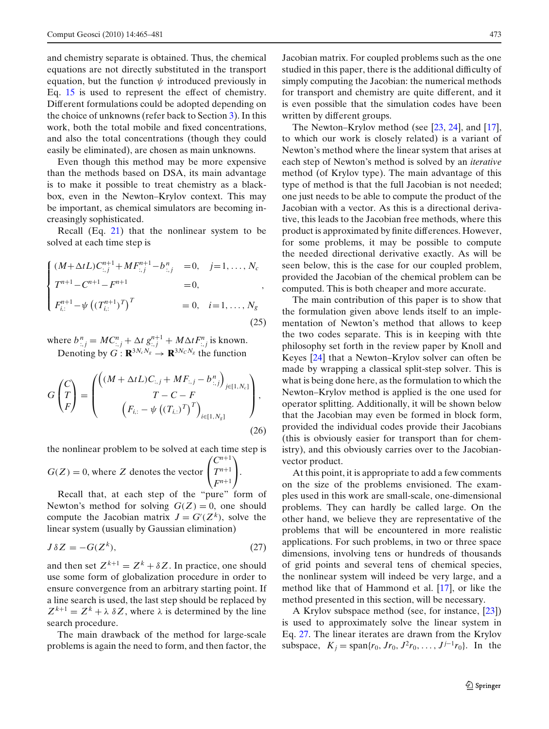<span id="page-8-0"></span>and chemistry separate is obtained. Thus, the chemical equations are not directly substituted in the transport equation, but the function  $\psi$  introduced previously in Eq. [15](#page-4-0) is used to represent the effect of chemistry. Different formulations could be adopted depending on the choice of unknowns (refer back to Section [3\)](#page-6-0). In this work, both the total mobile and fixed concentrations, and also the total concentrations (though they could easily be eliminated), are chosen as main unknowns.

Even though this method may be more expensive than the methods based on DSA, its main advantage is to make it possible to treat chemistry as a blackbox, even in the Newton–Krylov context. This may be important, as chemical simulators are becoming increasingly sophisticated.

Recall (Eq. [21\)](#page-6-0) that the nonlinear system to be solved at each time step is

$$
\begin{cases}\n(M + \Delta t L) C_{:,j}^{n+1} + M F_{:,j}^{n+1} - b_{:,j}^{n} = 0, & j = 1, ..., N_c \\
T^{n+1} - C^{n+1} - F^{n+1} = 0, & \text{,} \\
F_{i,:}^{n+1} - \psi \left( (T_{i,:}^{n+1})^T \right)^T = 0, & i = 1, ..., N_g\n\end{cases}
$$
\n(25)

where  $b_{:,j}^n = MC_{:,j}^n + \Delta t g_{:,j}^{n+1} + M \Delta t F_{:,j}^n$  is known. Denoting by  $G : \mathbf{R}^{3N_cN_g} \to \mathbf{R}^{3N_cN_g}$  the function

$$
G\begin{pmatrix} C \\ T \\ F \end{pmatrix} = \begin{pmatrix} \left( (M + \Delta t L)C_{:,j} + MF_{:,j} - b_{:,j}^n \right)_{j \in [1,N_c]} \\ T - C - F \\ \left( F_{i,:} - \psi \left( (T_{i,:})^T \right)^T \right)_{i \in [1,N_g]} \end{pmatrix},
$$
\n(26)

the nonlinear problem to be solved at each time step is  $G(Z) = 0$ , where *Z* denotes the vector  $\sqrt{2}$ *C<sup>n</sup>*+<sup>1</sup>  $\setminus$ 

 $\left( \begin{array}{c} T^{n+1} \\ E^{n+1} \end{array} \right)$ . *F<sup>n</sup>*+<sup>1</sup>

Recall that, at each step of the "pure" form of Newton's method for solving  $G(Z) = 0$ , one should compute the Jacobian matrix  $J = G'(Z^k)$ , solve the linear system (usually by Gaussian elimination)

$$
J \delta Z = -G(Z^k),\tag{27}
$$

and then set  $Z^{k+1} = Z^k + \delta Z$ . In practice, one should use some form of globalization procedure in order to ensure convergence from an arbitrary starting point. If a line search is used, the last step should be replaced by  $Z^{k+1} = Z^k + \lambda \delta Z$ , where  $\lambda$  is determined by the line search procedure.

The main drawback of the method for large-scale problems is again the need to form, and then factor, the Jacobian matrix. For coupled problems such as the one studied in this paper, there is the additional difficulty of simply computing the Jacobian: the numerical methods for transport and chemistry are quite different, and it is even possible that the simulation codes have been written by different groups.

The Newton–Krylov method (see [\[23](#page-15-0), [24\]](#page-15-0), and [\[17](#page-15-0)], to which our work is closely related) is a variant of Newton's method where the linear system that arises at each step of Newton's method is solved by an *iterative* method (of Krylov type). The main advantage of this type of method is that the full Jacobian is not needed; one just needs to be able to compute the product of the Jacobian with a vector. As this is a directional derivative, this leads to the Jacobian free methods, where this product is approximated by finite differences. However, for some problems, it may be possible to compute the needed directional derivative exactly. As will be seen below, this is the case for our coupled problem, provided the Jacobian of the chemical problem can be computed. This is both cheaper and more accurate.

The main contribution of this paper is to show that the formulation given above lends itself to an implementation of Newton's method that allows to keep the two codes separate. This is in keeping with thte philosophy set forth in the review paper by Knoll and Keyes [\[24\]](#page-15-0) that a Newton–Krylov solver can often be made by wrapping a classical split-step solver. This is what is being done here, as the formulation to which the Newton–Krylov method is applied is the one used for operator splitting. Additionally, it will be shown below that the Jacobian may even be formed in block form, provided the individual codes provide their Jacobians (this is obviously easier for transport than for chemistry), and this obviously carries over to the Jacobianvector product.

At this point, it is appropriate to add a few comments on the size of the problems envisioned. The examples used in this work are small-scale, one-dimensional problems. They can hardly be called large. On the other hand, we believe they are representative of the problems that will be encountered in more realistic applications. For such problems, in two or three space dimensions, involving tens or hundreds of thousands of grid points and several tens of chemical species, the nonlinear system will indeed be very large, and a method like that of Hammond et al. [\[17](#page-15-0)], or like the method presented in this section, will be necessary.

A Krylov subspace method (see, for instance, [\[23](#page-15-0)]) is used to approximately solve the linear system in Eq. 27. The linear iterates are drawn from the Krylov subspace,  $K_j = \text{span}\{r_0, Jr_0, J^2r_0, \ldots, J^{j-1}r_0\}$ . In the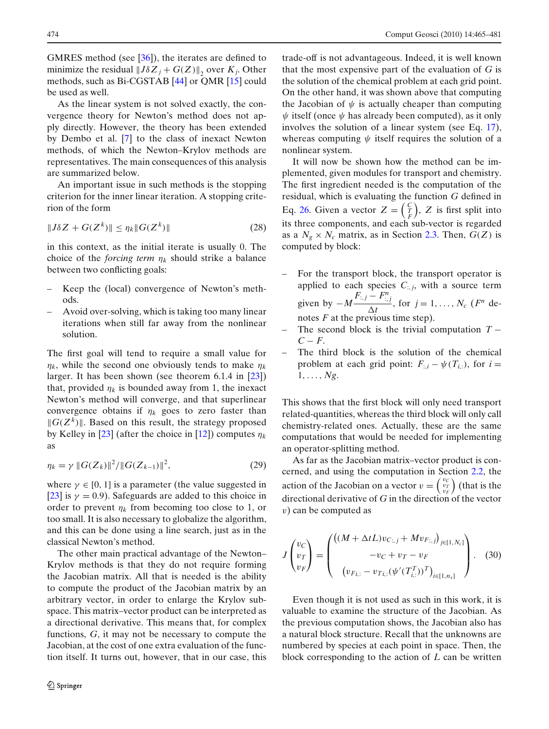<span id="page-9-0"></span>GMRES method (see [\[36\]](#page-16-0)), the iterates are defined to minimize the residual  $||J\delta Z_j + G(Z)||_2$  over  $K_j$ . Other methods, such as Bi-CGSTAB [\[44\]](#page-16-0) or QMR [\[15](#page-15-0)] could be used as well.

As the linear system is not solved exactly, the convergence theory for Newton's method does not apply directly. However, the theory has been extended by Dembo et al. [\[7](#page-15-0)] to the class of inexact Newton methods, of which the Newton–Krylov methods are representatives. The main consequences of this analysis are summarized below.

An important issue in such methods is the stopping criterion for the inner linear iteration. A stopping criterion of the form

$$
||J\delta Z + G(Z^k)|| \le \eta_k ||G(Z^k)|| \tag{28}
$$

in this context, as the initial iterate is usually 0. The choice of the *forcing term*  $\eta_k$  should strike a balance between two conflicting goals:

- Keep the (local) convergence of Newton's methods.
- Avoid over-solving, which is taking too many linear iterations when still far away from the nonlinear solution.

The first goal will tend to require a small value for  $\eta_k$ , while the second one obviously tends to make  $\eta_k$ larger. It has been shown (see theorem 6.1.4 in  $[23]$ ) that, provided  $\eta_k$  is bounded away from 1, the inexact Newton's method will converge, and that superlinear convergence obtains if  $\eta_k$  goes to zero faster than  $\|G(Z^k)\|$ . Based on this result, the strategy proposed by Kelley in [\[23\]](#page-15-0) (after the choice in [\[12](#page-15-0)]) computes  $\eta_k$ as

$$
\eta_k = \gamma \, \|G(Z_k)\|^2 / \|G(Z_{k-1})\|^2,\tag{29}
$$

where  $\gamma \in [0, 1]$  is a parameter (the value suggested in [\[23](#page-15-0)] is  $\gamma = 0.9$ ). Safeguards are added to this choice in order to prevent  $\eta_k$  from becoming too close to 1, or too small. It is also necessary to globalize the algorithm, and this can be done using a line search, just as in the classical Newton's method.

The other main practical advantage of the Newton– Krylov methods is that they do not require forming the Jacobian matrix. All that is needed is the ability to compute the product of the Jacobian matrix by an arbitrary vector, in order to enlarge the Krylov subspace. This matrix–vector product can be interpreted as a directional derivative. This means that, for complex functions, *G*, it may not be necessary to compute the Jacobian, at the cost of one extra evaluation of the function itself. It turns out, however, that in our case, this trade-off is not advantageous. Indeed, it is well known that the most expensive part of the evaluation of *G* is the solution of the chemical problem at each grid point. On the other hand, it was shown above that computing the Jacobian of  $\psi$  is actually cheaper than computing  $\psi$  itself (once  $\psi$  has already been computed), as it only involves the solution of a linear system (see Eq. [17\)](#page-5-0), whereas computing  $\psi$  itself requires the solution of a nonlinear system.

It will now be shown how the method can be implemented, given modules for transport and chemistry. The first ingredient needed is the computation of the residual, which is evaluating the function *G* defined in Eq. [26.](#page-8-0) Given a vector  $Z = \begin{pmatrix} C \\ T \\ F \end{pmatrix}$  , *Z* is first split into its three components, and each sub-vector is regarded as a  $N_g \times N_c$  matrix, as in Section [2.3.](#page-5-0) Then,  $G(Z)$  is computed by block:

- For the transport block, the transport operator is applied to each species  $C_{:,j}$ , with a source term given by  $-M \frac{F_{:,j} - F_{:,j}^n}{\Delta t}$ , for  $j = 1, ..., N_c$  (*F<sup>n</sup>* denotes *F* at the previous time step).
- The second block is the trivial computation  $T -$ *C* − *F*.
- The third block is the solution of the chemical problem at each grid point:  $F_{:i} - \psi(T_{i,:})$ , for  $i =$ 1,..., *Ng*.

This shows that the first block will only need transport related-quantities, whereas the third block will only call chemistry-related ones. Actually, these are the same computations that would be needed for implementing an operator-splitting method.

As far as the Jacobian matrix–vector product is concerned, and using the computation in Section [2.2,](#page-3-0) the action of the Jacobian on a vector  $v = \begin{pmatrix} v_C \\ v_T \end{pmatrix}$  (that is the directional derivative of *G* in the direction of the vector v) can be computed as

$$
J\begin{pmatrix} v_C \\ v_T \\ v_F \end{pmatrix} = \begin{pmatrix} ((M + \Delta t L)v_{C:,j} + Mv_{F:,j})_{j \in [1,N_c]} \\ -v_C + v_T - v_F \\ (v_{Fi,:} - v_{Ti,:}(\psi'(T_{i,:}^T))^T)_{i \in [1,n_x]} \end{pmatrix}.
$$
 (30)

Even though it is not used as such in this work, it is valuable to examine the structure of the Jacobian. As the previous computation shows, the Jacobian also has a natural block structure. Recall that the unknowns are numbered by species at each point in space. Then, the block corresponding to the action of *L* can be written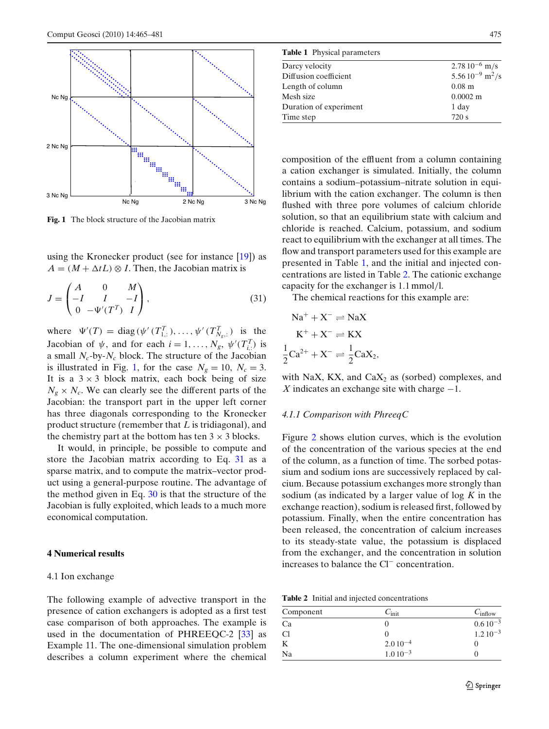<span id="page-10-0"></span>

**Fig. 1** The block structure of the Jacobian matrix

using the Kronecker product (see for instance [\[19\]](#page-15-0)) as  $A = (M + \Delta t L) \otimes I$ . Then, the Jacobian matrix is

$$
J = \begin{pmatrix} A & 0 & M \\ -I & I & -I \\ 0 & -\Psi'(T^T) & I \end{pmatrix},
$$
 (31)

where  $\Psi'(T) = \text{diag}(\psi'(T_{1,:}^T), \dots, \psi'(T_{N_g,:}^T)$  is the Jacobian of  $\psi$ , and for each  $i = 1, ..., N_g$ ,  $\psi'(T_{i,:}^T)$  is a small  $N_c$ -by- $N_c$  block. The structure of the Jacobian is illustrated in Fig. 1, for the case  $N_g = 10$ ,  $N_c = 3$ . It is a  $3 \times 3$  block matrix, each bock being of size  $N_g \times N_c$ . We can clearly see the different parts of the Jacobian: the transport part in the upper left corner has three diagonals corresponding to the Kronecker product structure (remember that *L* is tridiagonal), and the chemistry part at the bottom has ten  $3 \times 3$  blocks.

It would, in principle, be possible to compute and store the Jacobian matrix according to Eq. 31 as a sparse matrix, and to compute the matrix–vector product using a general-purpose routine. The advantage of the method given in Eq.  $30$  is that the structure of the Jacobian is fully exploited, which leads to a much more economical computation.

# **4 Numerical results**

# 4.1 Ion exchange

The following example of advective transport in the presence of cation exchangers is adopted as a first test case comparison of both approaches. The example is used in the documentation of PHREEQC-2 [\[33\]](#page-16-0) as Example 11. The one-dimensional simulation problem describes a column experiment where the chemical

**Table 1** Physical parameters

| Darcy velocity         | $2.7810^{-6}$ m/s               |
|------------------------|---------------------------------|
| Diffusion coefficient  | $5.5610^{-9}$ m <sup>2</sup> /s |
| Length of column       | 0.08 <sub>m</sub>               |
| Mesh size              | $0.0002 \; \mathrm{m}$          |
| Duration of experiment | 1 day                           |
| Time step              | 720 s                           |

composition of the effluent from a column containing a cation exchanger is simulated. Initially, the column contains a sodium–potassium–nitrate solution in equilibrium with the cation exchanger. The column is then flushed with three pore volumes of calcium chloride solution, so that an equilibrium state with calcium and chloride is reached. Calcium, potassium, and sodium react to equilibrium with the exchanger at all times. The flow and transport parameters used for this example are presented in Table 1, and the initial and injected concentrations are listed in Table 2. The cationic exchange capacity for the exchanger is 1.1 mmol/l.

The chemical reactions for this example are:

$$
Na^{+} + X^{-} \rightleftharpoons NaX
$$

$$
K^{+} + X^{-} \rightleftharpoons KX
$$

$$
\frac{1}{2}Ca^{2+} + X^{-} \rightleftharpoons \frac{1}{2}CaX_{2},
$$

with NaX, KX, and Ca $X_2$  as (sorbed) complexes, and *X* indicates an exchange site with charge  $-1$ .

#### *4.1.1 Comparison with PhreeqC*

Figure [2](#page-11-0) shows elution curves, which is the evolution of the concentration of the various species at the end of the column, as a function of time. The sorbed potassium and sodium ions are successively replaced by calcium. Because potassium exchanges more strongly than sodium (as indicated by a larger value of log *K* in the exchange reaction), sodium is released first, followed by potassium. Finally, when the entire concentration has been released, the concentration of calcium increases to its steady-state value, the potassium is displaced from the exchanger, and the concentration in solution increases to balance the Cl<sup>−</sup> concentration.

**Table 2** Initial and injected concentrations

| Component | $C_{\text{init}}$ | $C_{\text{inflow}}$ |
|-----------|-------------------|---------------------|
| Ca        |                   | $0.610^{-3}$        |
| Cl        |                   | $1.210^{-3}$        |
| K         | $2.010^{-4}$      |                     |
| Na        | $1.010^{-3}$      |                     |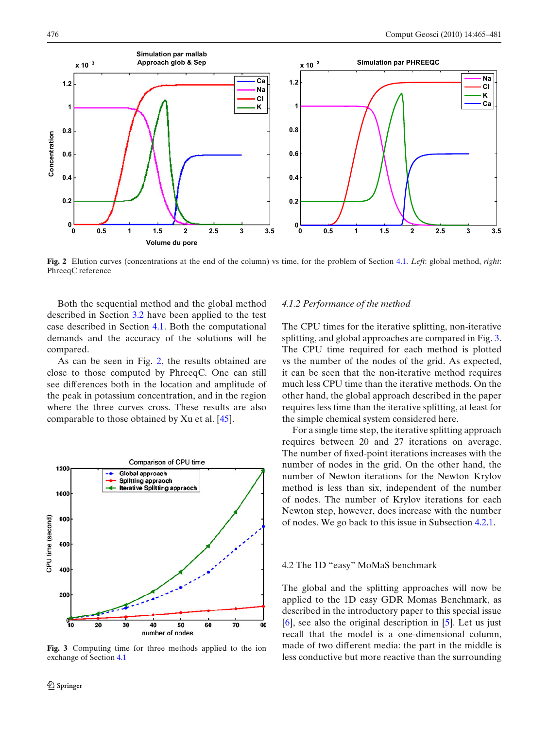<span id="page-11-0"></span>

**Fig. 2** Elution curves (concentrations at the end of the column) vs time, for the problem of Section [4.1.](#page-10-0) *Left*: global method, *right*: PhreeqC reference

Both the sequential method and the global method described in Section [3.2](#page-7-0) have been applied to the test case described in Section [4.1.](#page-10-0) Both the computational demands and the accuracy of the solutions will be compared.

As can be seen in Fig. 2, the results obtained are close to those computed by PhreeqC. One can still see differences both in the location and amplitude of the peak in potassium concentration, and in the region where the three curves cross. These results are also comparable to those obtained by Xu et al. [\[45\]](#page-16-0).



**Fig. 3** Computing time for three methods applied to the ion exchange of Section [4.1](#page-10-0)

#### *4.1.2 Performance of the method*

The CPU times for the iterative splitting, non-iterative splitting, and global approaches are compared in Fig. 3. The CPU time required for each method is plotted vs the number of the nodes of the grid. As expected, it can be seen that the non-iterative method requires much less CPU time than the iterative methods. On the other hand, the global approach described in the paper requires less time than the iterative splitting, at least for the simple chemical system considered here.

For a single time step, the iterative splitting approach requires between 20 and 27 iterations on average. The number of fixed-point iterations increases with the number of nodes in the grid. On the other hand, the number of Newton iterations for the Newton–Krylov method is less than six, independent of the number of nodes. The number of Krylov iterations for each Newton step, however, does increase with the number of nodes. We go back to this issue in Subsection [4.2.1.](#page-14-0)

## 4.2 The 1D "easy" MoMaS benchmark

The global and the splitting approaches will now be applied to the 1D easy GDR Momas Benchmark, as described in the introductory paper to this special issue  $[6]$  $[6]$ , see also the original description in  $[5]$  $[5]$ . Let us just recall that the model is a one-dimensional column, made of two different media: the part in the middle is less conductive but more reactive than the surrounding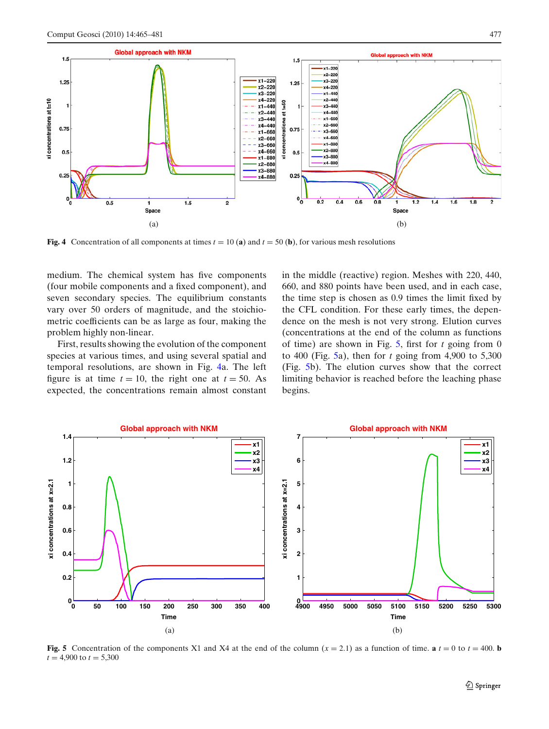

**Fig. 4** Concentration of all components at times  $t = 10$  (a) and  $t = 50$  (b), for various mesh resolutions

medium. The chemical system has five components (four mobile components and a fixed component), and seven secondary species. The equilibrium constants vary over 50 orders of magnitude, and the stoichiometric coefficients can be as large as four, making the problem highly non-linear.

First, results showing the evolution of the component species at various times, and using several spatial and temporal resolutions, are shown in Fig. 4a. The left figure is at time  $t = 10$ , the right one at  $t = 50$ . As expected, the concentrations remain almost constant in the middle (reactive) region. Meshes with 220, 440, 660, and 880 points have been used, and in each case, the time step is chosen as 0.9 times the limit fixed by the CFL condition. For these early times, the dependence on the mesh is not very strong. Elution curves (concentrations at the end of the column as functions of time) are shown in Fig. 5, first for *t* going from 0 to 400 (Fig. 5a), then for *t* going from 4,900 to 5,300 (Fig. 5b). The elution curves show that the correct limiting behavior is reached before the leaching phase begins.



**Fig. 5** Concentration of the components X1 and X4 at the end of the column  $(x = 2.1)$  as a function of time. **a**  $t = 0$  to  $t = 400$ . **b**  $t = 4,900$  to  $t = 5,300$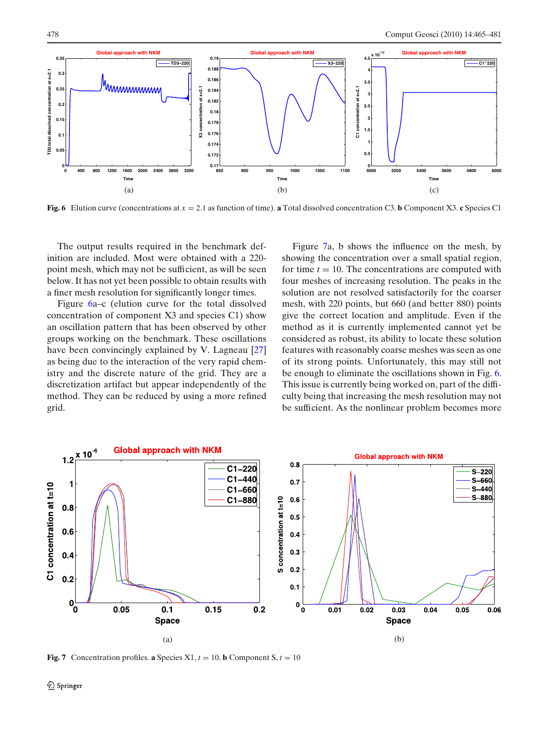

**Fig. 6** Elution curve (concentrations at  $x = 2.1$  as function of time). **a** Total dissolved concentration C3. **b** Component X3. **c** Species C1

The output results required in the benchmark definition are included. Most were obtained with a 220 point mesh, which may not be sufficient, as will be seen below. It has not yet been possible to obtain results with a finer mesh resolution for significantly longer times.

Figure 6a–c (elution curve for the total dissolved concentration of component X3 and species C1) show an oscillation pattern that has been observed by other groups working on the benchmark. These oscillations have been convincingly explained by V. Lagneau [\[27\]](#page-16-0) as being due to the interaction of the very rapid chemistry and the discrete nature of the grid. They are a discretization artifact but appear independently of the method. They can be reduced by using a more refined grid.

Figure 7a, b shows the influence on the mesh, by showing the concentration over a small spatial region, for time  $t = 10$ . The concentrations are computed with four meshes of increasing resolution. The peaks in the solution are not resolved satisfactorily for the coarser mesh, with 220 points, but 660 (and better 880) points give the correct location and amplitude. Even if the method as it is currently implemented cannot yet be considered as robust, its ability to locate these solution features with reasonably coarse meshes was seen as one of its strong points. Unfortunately, this may still not be enough to eliminate the oscillations shown in Fig. 6. This issue is currently being worked on, part of the difficulty being that increasing the mesh resolution may not be sufficient. As the nonlinear problem becomes more



**Fig. 7** Concentration profiles. **a** Species X1,  $t = 10$ . **b** Component S,  $t = 10$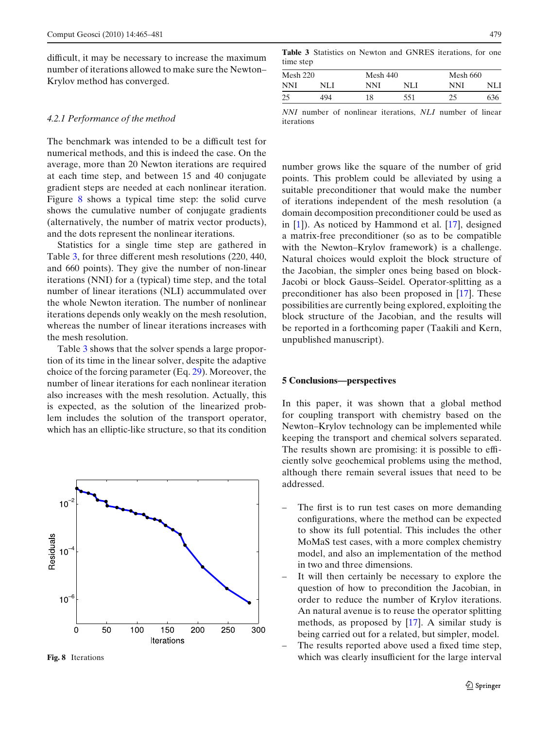<span id="page-14-0"></span>difficult, it may be necessary to increase the maximum number of iterations allowed to make sure the Newton– Krylov method has converged.

#### *4.2.1 Performance of the method*

The benchmark was intended to be a difficult test for numerical methods, and this is indeed the case. On the average, more than 20 Newton iterations are required at each time step, and between 15 and 40 conjugate gradient steps are needed at each nonlinear iteration. Figure 8 shows a typical time step: the solid curve shows the cumulative number of conjugate gradients (alternatively, the number of matrix vector products), and the dots represent the nonlinear iterations.

Statistics for a single time step are gathered in Table 3, for three different mesh resolutions (220, 440, and 660 points). They give the number of non-linear iterations (NNI) for a (typical) time step, and the total number of linear iterations (NLI) accummulated over the whole Newton iteration. The number of nonlinear iterations depends only weakly on the mesh resolution, whereas the number of linear iterations increases with the mesh resolution.

Table 3 shows that the solver spends a large proportion of its time in the linear solver, despite the adaptive choice of the forcing parameter (Eq. [29\)](#page-9-0). Moreover, the number of linear iterations for each nonlinear iteration also increases with the mesh resolution. Actually, this is expected, as the solution of the linearized problem includes the solution of the transport operator, which has an elliptic-like structure, so that its condition



**Fig. 8** Iterations

**Table 3** Statistics on Newton and GNRES iterations, for one time step

| Mesh 220   |     | Mesh $440$ |      | Mesh $660$ |     |
|------------|-----|------------|------|------------|-----|
| <b>NNI</b> | NLI | NNI        | NI J | NNI        |     |
| 25         | 494 | 18         | 551  | 25         | 636 |

*NNI* number of nonlinear iterations, *NLI* number of linear iterations

number grows like the square of the number of grid points. This problem could be alleviated by using a suitable preconditioner that would make the number of iterations independent of the mesh resolution (a domain decomposition preconditioner could be used as in [\[1\]](#page-15-0)). As noticed by Hammond et al. [\[17](#page-15-0)], designed a matrix-free preconditioner (so as to be compatible with the Newton–Krylov framework) is a challenge. Natural choices would exploit the block structure of the Jacobian, the simpler ones being based on block-Jacobi or block Gauss–Seidel. Operator-splitting as a preconditioner has also been proposed in [\[17\]](#page-15-0). These possibilities are currently being explored, exploiting the block structure of the Jacobian, and the results will be reported in a forthcoming paper (Taakili and Kern, unpublished manuscript).

# **5 Conclusions—perspectives**

In this paper, it was shown that a global method for coupling transport with chemistry based on the Newton–Krylov technology can be implemented while keeping the transport and chemical solvers separated. The results shown are promising: it is possible to efficiently solve geochemical problems using the method, although there remain several issues that need to be addressed.

- The first is to run test cases on more demanding configurations, where the method can be expected to show its full potential. This includes the other MoMaS test cases, with a more complex chemistry model, and also an implementation of the method in two and three dimensions.
- It will then certainly be necessary to explore the question of how to precondition the Jacobian, in order to reduce the number of Krylov iterations. An natural avenue is to reuse the operator splitting methods, as proposed by [\[17](#page-15-0)]. A similar study is being carried out for a related, but simpler, model.
- The results reported above used a fixed time step, which was clearly insufficient for the large interval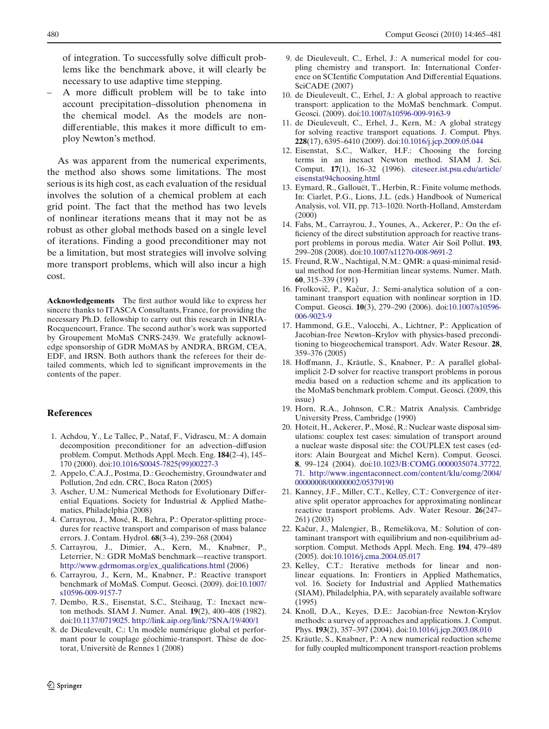<span id="page-15-0"></span>of integration. To successfully solve difficult problems like the benchmark above, it will clearly be necessary to use adaptive time stepping.

– A more difficult problem will be to take into account precipitation–dissolution phenomena in the chemical model. As the models are nondifferentiable, this makes it more difficult to employ Newton's method.

As was apparent from the numerical experiments, the method also shows some limitations. The most serious is its high cost, as each evaluation of the residual involves the solution of a chemical problem at each grid point. The fact that the method has two levels of nonlinear iterations means that it may not be as robust as other global methods based on a single level of iterations. Finding a good preconditioner may not be a limitation, but most strategies will involve solving more transport problems, which will also incur a high cost.

**Acknowledgements** The first author would like to express her sincere thanks to ITASCA Consultants, France, for providing the necessary Ph.D. fellowship to carry out this research in INRIA-Rocquencourt, France. The second author's work was supported by Groupement MoMaS CNRS-2439. We gratefully acknowledge sponsorship of GDR MoMAS by ANDRA, BRGM, CEA, EDF, and IRSN. Both authors thank the referees for their detailed comments, which led to significant improvements in the contents of the paper.

# **References**

- 1. Achdou, Y., Le Tallec, P., Nataf, F., Vidrascu, M.: A domain decomposition preconditioner for an advection–diffusion problem. Comput. Methods Appl. Mech. Eng. **184**(2–4), 145– 170 (2000). doi[:10.1016/S0045-7825\(99\)00227-3](http://dx.doi.org/10.1016/S0045-7825(99)00227-3)
- 2. Appelo, C.A.J., Postma, D.: Geochemistry, Groundwater and Pollution, 2nd edn. CRC, Boca Raton (2005)
- 3. Ascher, U.M.: Numerical Methods for Evolutionary Differential Equations. Society for Industrial & Applied Mathematics, Philadelphia (2008)
- 4. Carrayrou, J., Mosé, R., Behra, P.: Operator-splitting procedures for reactive transport and comparison of mass balance errors. J. Contam. Hydrol. **68**(3–4), 239–268 (2004)
- 5. Carrayrou, J., Dimier, A., Kern, M., Knabner, P., Leterrier, N.: GDR MoMaS benchmark—reactive transport. [http://www.gdrmomas.org/ex\\_qualifications.html](http://www.gdrmomas.org/ex_qualifications.html) (2006)
- 6. Carrayrou, J., Kern, M., Knabner, P.: Reactive transport benchmark of MoMaS. Comput. Geosci. (2009). doi[:10.1007/](http://dx.doi.org/10.1007/s10596-009-9157-7) [s10596-009-9157-7](http://dx.doi.org/10.1007/s10596-009-9157-7)
- 7. Dembo, R.S., Eisenstat, S.C., Steihaug, T.: Inexact newton methods. SIAM J. Numer. Anal. **19**(2), 400–408 (1982). doi[:10.1137/0719025.](http://dx.doi.org/10.1137/0719025) <http://link.aip.org/link/?SNA/19/400/1>
- 8. de Dieuleveult, C.: Un modèle numérique global et performant pour le couplage géochimie-transport. Thèse de doctorat, Universitè de Rennes 1 (2008)
- 9. de Dieuleveult, C., Erhel, J.: A numerical model for coupling chemistry and transport. In: International Conference on SCIentific Computation And Differential Equations. SciCADE (2007)
- 10. de Dieuleveult, C., Erhel, J.: A global approach to reactive transport: application to the MoMaS benchmark. Comput. Geosci. (2009). doi[:10.1007/s10596-009-9163-9](http://dx.doi.org/10.1007/s10596-009-9163-9)
- 11. de Dieuleveult, C., Erhel, J., Kern, M.: A global strategy for solving reactive transport equations. J. Comput. Phys. **228**(17), 6395–6410 (2009). doi[:10.1016/j.jcp.2009.05.044](http://dx.doi.org/10.1016/j.jcp.2009.05.044)
- 12. Eisenstat, S.C., Walker, H.F.: Choosing the forcing terms in an inexact Newton method. SIAM J. Sci. Comput. **17**(1), 16–32 (1996). [citeseer.ist.psu.edu/article/](http://citeseer.ist.psu.edu/article/eisenstat94choosing.html) [eisenstat94choosing.html](http://citeseer.ist.psu.edu/article/eisenstat94choosing.html)
- 13. Eymard, R., Gallouët, T., Herbin, R.: Finite volume methods. In: Ciarlet, P.G., Lions, J.L. (eds.) Handbook of Numerical Analysis, vol. VII, pp. 713–1020. North-Holland, Amsterdam (2000)
- 14. Fahs, M., Carrayrou, J., Younes, A., Ackerer, P.: On the efficiency of the direct substitution approach for reactive transport problems in porous media. Water Air Soil Pollut. **193**, 299–208 (2008). doi[:10.1007/s11270-008-9691-2](http://dx.doi.org/10.1007/s11270-008-9691-2)
- 15. Freund, R.W., Nachtigal, N.M.: QMR: a quasi-minimal residual method for non-Hermitian linear systems. Numer. Math. **60**, 315–339 (1991)
- 16. Frolkovič, P., Kačur, J.: Semi-analytica solution of a contaminant transport equation with nonlinear sorption in 1D. Comput. Geosci. **10**(3), 279–290 (2006). doi[:10.1007/s10596-](http://dx.doi.org/10.1007/s10596-006-9023-9) [006-9023-9](http://dx.doi.org/10.1007/s10596-006-9023-9)
- 17. Hammond, G.E., Valocchi, A., Lichtner, P.: Application of Jacobian-free Newton–Krylov with physics-based preconditioning to biogeochemical transport. Adv. Water Resour. **28**, 359–376 (2005)
- 18. Hoffmann, J., Kräutle, S., Knabner, P.: A parallel globalimplicit 2-D solver for reactive transport problems in porous media based on a reduction scheme and its application to the MoMaS benchmark problem. Comput. Geosci. (2009, this issue)
- 19. Horn, R.A., Johnson, C.R.: Matrix Analysis. Cambridge University Press, Cambridge (1990)
- 20. Hoteit, H., Ackerer, P., Mosé, R.: Nuclear waste disposal simulations: couplex test cases: simulation of transport around a nuclear waste disposal site: the COUPLEX test cases (editors: Alain Bourgeat and Michel Kern). Comput. Geosci. **8**, 99–124 (2004). doi[:10.1023/B:COMG.0000035074.37722.](http://dx.doi.org/10.1023/B:COMG.0000035074.37722.71) [71.](http://dx.doi.org/10.1023/B:COMG.0000035074.37722.71) [http://www.ingentaconnect.com/content/klu/comg/2004/](http://www.ingentaconnect.com/content/klu/comg/2004/00000008/00000002/05379190) [00000008/00000002/05379190](http://www.ingentaconnect.com/content/klu/comg/2004/00000008/00000002/05379190)
- 21. Kanney, J.F., Miller, C.T., Kelley, C.T.: Convergence of iterative split operator approaches for approximating nonlinear reactive transport problems. Adv. Water Resour. **26**(247– 261) (2003)
- 22. Kačur, J., Malengier, B., Remešikova, M.: Solution of contaminant transport with equilibrium and non-equilibrium adsorption. Comput. Methods Appl. Mech. Eng. **194**, 479–489 (2005). doi[:10.1016/j.cma.2004.05.017](http://dx.doi.org/10.1016/j.cma.2004.05.017)
- 23. Kelley, C.T.: Iterative methods for linear and nonlinear equations. In: Frontiers in Applied Mathematics, vol. 16. Society for Industrial and Applied Mathematics (SIAM), Philadelphia, PA, with separately available software (1995)
- 24. Knoll, D.A., Keyes, D.E.: Jacobian-free Newton-Krylov methods: a survey of approaches and applications. J. Comput. Phys. **193**(2), 357–397 (2004). doi[:10.1016/j.jcp.2003.08.010](http://dx.doi.org/10.1016/j.jcp.2003.08.010)
- 25. Kräutle, S., Knabner, P.: A new numerical reduction scheme for fully coupled multicomponent transport-reaction problems